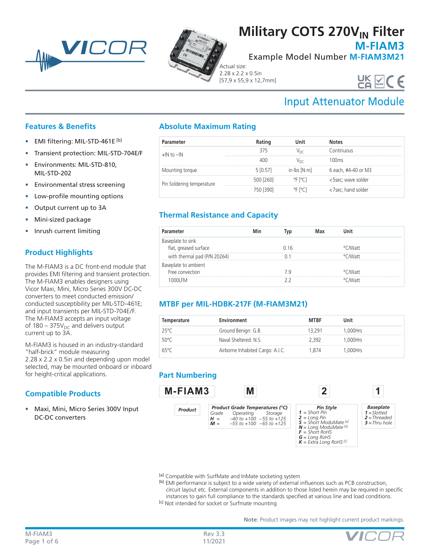



# **Military COTS 270V<sub>IN</sub> Filter**

**M-FIAM3**

Example Model Number **M-FIAM3M21**

Actual size: 2.28 x 2.2 x 0.5in [57,9 x 55,9 x 12,7mm]

# UK VCC

## Input Attenuator Module

### **Features & Benefits**

- EMI filtering: MIL-STD-461E [b]
- Transient protection: MIL-STD-704E/F
- Environments: MIL-STD-810, MIL-STD-202
- Environmental stress screening
- Low-profile mounting options
- Output current up to 3A
- Mini-sized package
- Inrush current limiting

## **Product Highlights**

The M-FIAM3 is a DC front-end module that provides EMI filtering and transient protection. The M-FIAM3 enables designers using Vicor Maxi, Mini, Micro Series 300V DC-DC converters to meet conducted emission/ conducted susceptibility per MIL-STD-461E; and input transients per MIL-STD-704E/F. The M-FIAM3 accepts an input voltage of 180 – 375 $V_{DC}$  and delivers output current up to 3A.

M-FIAM3 is housed in an industry-standard "half-brick" module measuring 2.28 x 2.2 x 0.5in and depending upon model selected, may be mounted onboard or inboard for height-critical applications.

## **Compatible Products**

• Maxi, Mini, Micro Series 300V Input DC-DC converters

## **Absolute Maximum Rating**

| Parameter                 |           | l Init                       | atok                                                                                                                                                                              |
|---------------------------|-----------|------------------------------|-----------------------------------------------------------------------------------------------------------------------------------------------------------------------------------|
| $+$ IN to $-$ IN          | 375       |                              | Continuous                                                                                                                                                                        |
|                           |           |                              | MOms∩،                                                                                                                                                                            |
| Mounting torque           | 5 [0.57]  |                              | $\left  \text{in} \right $ for $\left  \text{N} \right $ for $\left  \text{in} \right $ for $\left  \text{N} \right $ for $\left  \text{N} \right $ for $\left  \text{N} \right $ |
| Pin Soldering temperature | 500 [260] | $^{\circ}$ F [ $^{\circ}$ C] | <5sec; wave solder                                                                                                                                                                |
|                           | 750 [390] | °F [°C]                      | <7sec; hand solder                                                                                                                                                                |

## **Thermal Resistance and Capacity**

| Parameter                    |      | Иах |         |  |
|------------------------------|------|-----|---------|--|
| Baseplate to sink            |      |     |         |  |
| flat, greased surface        | በ 16 |     | °C∧Watt |  |
| with thermal pad (P/N 20264) |      |     | ∩Matt   |  |
| Baseplate to ambient         |      |     |         |  |
| Free convection              |      |     | °C∧Watt |  |
|                              |      |     | MMatt   |  |

## **MTBF per MIL-HDBK-217F (M-FIAM3M21)**

| Temperature | Environment                      | MTRF    | Unit    |  |
|-------------|----------------------------------|---------|---------|--|
| 25°C        | Ground Benign: G.B.              | ' ⊀.29⊤ | .000Hrs |  |
| 50°C        | Naval Sheltered: N.S.            | - 397   | .000Hrs |  |
|             | Airborne Inhabited Cargo: A.I.C. | 874     | 000Hrs  |  |

## **Part Numbering**



[a] Compatible with SurfMate and InMate socketing system

[b] EMI performance is subject to a wide variety of external influences such as PCB construction, circuit layout etc. External components in addition to those listed herein may be required in specific instances to gain full compliance to the standards specified at various line and load conditions.

[c] Not intended for socket or Surfmate mounting

Note: Product images may not highlight current product markings.

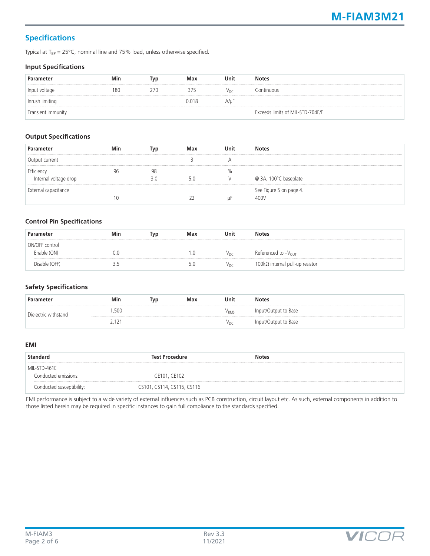## **Specifications**

Typical at  $T_{BP} = 25^{\circ}$ C, nominal line and 75% load, unless otherwise specified.

#### **Input Specifications**

| Parameter          | Min | Typ | Max   | Unit            | <b>Notes</b>                     |
|--------------------|-----|-----|-------|-----------------|----------------------------------|
| Input voltage      | 180 | 270 | 375   | V <sub>DC</sub> | Continuous                       |
| Inrush limiting    |     |     | 0.018 | A/µF            |                                  |
| Transient immunity |     |     |       |                 | Exceeds limits of MIL-STD-704E/F |

#### **Output Specifications**

| Parameter                           | Min | Typ       | Max | Unit | <b>Notes</b>                    |
|-------------------------------------|-----|-----------|-----|------|---------------------------------|
| Output current                      |     |           |     |      |                                 |
| Efficiency<br>Internal voltage drop |     | 98<br>3.0 |     | $\%$ | @ 3A, 100°C baseplate           |
| External capacitance                |     |           |     | uF   | See Figure 5 on page 4.<br>400V |

#### **Control Pin Specifications**

| Parameter      | Min | Typ | Max | Unit            | <b>Notes</b>                            |
|----------------|-----|-----|-----|-----------------|-----------------------------------------|
| ON/OFF control |     |     |     |                 |                                         |
| Enable (ON)    | 0.0 |     | 0.1 | V <sub>DC</sub> | Referenced to $-V_{\text{OUT}}$         |
| Disable (OFF)  |     |     | 5.U | V <sub>DC</sub> | 100 $k\Omega$ internal pull-up resistor |

#### **Safety Specifications**

| Parameter            | Min                | Typ | Max | Unit             | <b>Notes</b>         |
|----------------------|--------------------|-----|-----|------------------|----------------------|
| Dielectric withstand | ,500               |     |     | V <sub>RMS</sub> | Input/Output to Base |
|                      | ,12<br><u>. . </u> |     |     | V <sub>DC</sub>  | Input/Output to Base |

#### **EMI**

| <b>Standard</b>           | <b>Test Procedure</b>      | <b>Notes</b> |  |
|---------------------------|----------------------------|--------------|--|
| MIL-STD-461E              |                            |              |  |
| Conducted emissions:      | CE101, CE102               |              |  |
| Conducted susceptibility: | CS101, CS114, CS115, CS116 |              |  |

EMI performance is subject to a wide variety of external influences such as PCB construction, circuit layout etc. As such, external components in addition to those listed herein may be required in specific instances to gain full compliance to the standards specified.

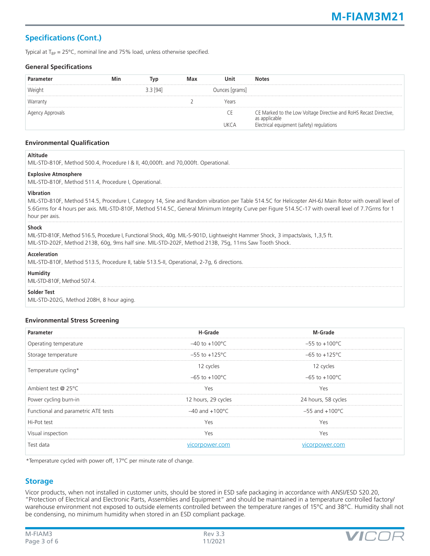## **Specifications (Cont.)**

Typical at  $T_{BP} = 25^{\circ}C$ , nominal line and 75% load, unless otherwise specified.

#### **General Specifications**

| Parameter        | Min | Tvp        | Max | Unit           | <b>Notes</b>                                                                       |
|------------------|-----|------------|-----|----------------|------------------------------------------------------------------------------------|
| Weight           |     | $3.3$ [94] |     | Ounces [grams] |                                                                                    |
| Warranty         |     |            |     | Years          |                                                                                    |
| Agency Approvals |     |            |     | CΕ             | CE Marked to the Low Voltage Directive and RoHS Recast Directive,<br>as applicable |
|                  |     |            |     | <b>UKCA</b>    | Electrical equipment (safety) regulations                                          |

#### **Environmental Qualification**

| <b>Altitude</b><br>MIL-STD-810F, Method 500.4, Procedure   & II, 40,000ft. and 70,000ft. Operational.                                                                                                                                                                                                                                        |
|----------------------------------------------------------------------------------------------------------------------------------------------------------------------------------------------------------------------------------------------------------------------------------------------------------------------------------------------|
| <b>Explosive Atmosphere</b><br>MIL-STD-810F, Method 511.4, Procedure I, Operational.                                                                                                                                                                                                                                                         |
| Vibration<br>MIL-STD-810F, Method 514.5, Procedure I, Category 14, Sine and Random vibration per Table 514.5C for Helicopter AH-6J Main Rotor with overall level of<br>5.6Grms for 4 hours per axis. MIL-STD-810F, Method 514.5C, General Minimum Integrity Curve per Figure 514.5C-17 with overall level of 7.7Grms for 1<br>hour per axis. |
| <b>Shock</b><br>MIL-STD-810F, Method 516.5, Procedure I, Functional Shock, 40g. MIL-S-901D, Lightweight Hammer Shock, 3 impacts/axis, 1,3,5 ft.<br>MIL-STD-202F, Method 213B, 60g, 9ms half sine. MIL-STD-202F, Method 213B, 75g, 11ms Saw Tooth Shock.                                                                                      |
| Acceleration<br>MIL-STD-810F, Method 513.5, Procedure II, table 513.5-II, Operational, 2-7q, 6 directions.                                                                                                                                                                                                                                   |
| Humidity<br>MIL-STD-810F, Method 507.4.                                                                                                                                                                                                                                                                                                      |
| <b>Solder Test</b><br>MIL-STD-202G, Method 208H, 8 hour aging.                                                                                                                                                                                                                                                                               |

#### **Environmental Stress Screening**

| <b>Parameter</b>                    | H-Grade                    | M-Grade                    |
|-------------------------------------|----------------------------|----------------------------|
| Operating temperature               | $-40$ to $+100^{\circ}$ C  | $-55$ to $+100^{\circ}$ C  |
| Storage temperature                 | $-55$ to $+125^{\circ}$ C  | $-65$ to $+125^{\circ}$ C  |
| Temperature cycling*                | 12 cycles                  | 12 cycles                  |
|                                     | $-65$ to $+100^{\circ}$ C  | $-65$ to $+100^{\circ}$ C  |
| Ambient test @ 25°C                 | Yes                        | Yes                        |
| Power cycling burn-in               | 12 hours, 29 cycles        | 24 hours, 58 cycles        |
| Functional and parametric ATE tests | $-40$ and $+100^{\circ}$ C | $-55$ and $+100^{\circ}$ C |
| Hi-Pot test                         | Yes                        | Yes                        |
| Visual inspection                   | Yes                        | Yes                        |
| Test data                           | vicorpower.com             | vicorpower.com             |

\*Temperature cycled with power off, 17°C per minute rate of change.

#### **Storage**

Vicor products, when not installed in customer units, should be stored in ESD safe packaging in accordance with ANSI/ESD S20.20, "Protection of Electrical and Electronic Parts, Assemblies and Equipment" and should be maintained in a temperature controlled factory/ warehouse environment not exposed to outside elements controlled between the temperature ranges of 15°C and 38°C. Humidity shall not be condensing, no minimum humidity when stored in an ESD compliant package.

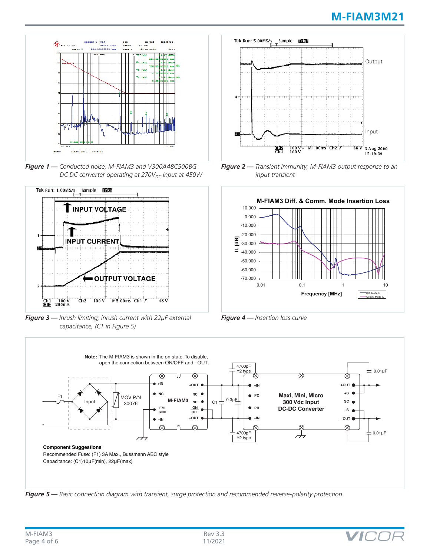

*Figure 1 — Conducted noise; M-FIAM3 and V300A48C500BG DC-DC converter operating at 270V<sub>DC</sub> input at 450W* 



*Figure 3 — Inrush limiting; inrush current with 22µF external capacitance, (C1 in Figure 5)*



*Figure 2 — Transient immunity; M-FIAM3 output response to an input transient*



*Figure 4 — Insertion loss curve*



*Figure 5 — Basic connection diagram with transient, surge protection and recommended reverse-polarity protection*

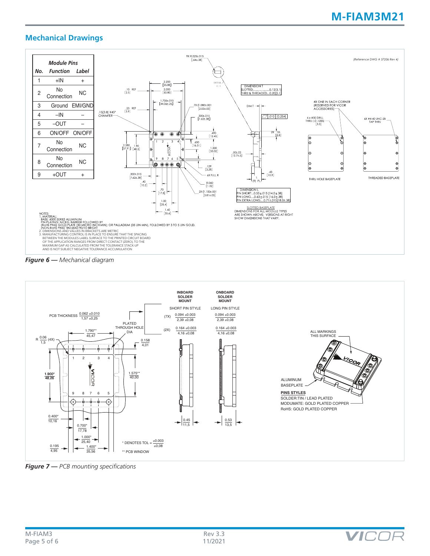## **M-FIAM3M21**

### **Mechanical Drawings**







*Figure 7 — PCB mounting specifications*